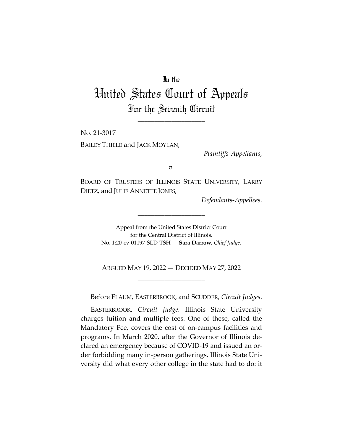## In the

## United States Court of Appeals For the Seventh Circuit

\_\_\_\_\_\_\_\_\_\_\_\_\_\_\_\_\_\_\_\_

No. 21-3017 BAILEY THIELE and JACK MOYLAN,

*Plaintiffs-Appellants*,

*v.*

BOARD OF TRUSTEES OF ILLINOIS STATE UNIVERSITY, LARRY DIETZ, and JULIE ANNETTE JONES,

*Defendants-Appellees*.

Appeal from the United States District Court for the Central District of Illinois. No. 1:20-cv-01197-SLD-TSH — **Sara Darrow**, *Chief Judge*.

\_\_\_\_\_\_\_\_\_\_\_\_\_\_\_\_\_\_\_\_

ARGUED MAY 19, 2022 — DECIDED MAY 27, 2022 \_\_\_\_\_\_\_\_\_\_\_\_\_\_\_\_\_\_\_\_

\_\_\_\_\_\_\_\_\_\_\_\_\_\_\_\_\_\_\_\_

Before FLAUM, EASTERBROOK, and SCUDDER, *Circuit Judges*.

EASTERBROOK, *Circuit Judge*. Illinois State University charges tuition and multiple fees. One of these, called the Mandatory Fee, covers the cost of on-campus facilities and programs. In March 2020, after the Governor of Illinois declared an emergency because of COVID-19 and issued an order forbidding many in-person gatherings, Illinois State University did what every other college in the state had to do: it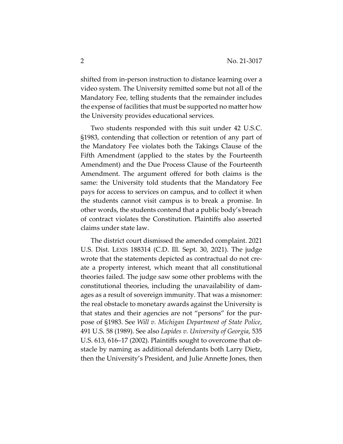shifted from in-person instruction to distance learning over a video system. The University remitted some but not all of the Mandatory Fee, telling students that the remainder includes the expense of facilities that must be supported no matter how the University provides educational services.

Two students responded with this suit under 42 U.S.C. §1983, contending that collection or retention of any part of the Mandatory Fee violates both the Takings Clause of the Fifth Amendment (applied to the states by the Fourteenth Amendment) and the Due Process Clause of the Fourteenth Amendment. The argument offered for both claims is the same: the University told students that the Mandatory Fee pays for access to services on campus, and to collect it when the students cannot visit campus is to break a promise. In other words, the students contend that a public body's breach of contract violates the Constitution. Plaintiffs also asserted claims under state law.

The district court dismissed the amended complaint. 2021 U.S. Dist. LEXIS 188314 (C.D. Ill. Sept. 30, 2021). The judge wrote that the statements depicted as contractual do not create a property interest, which meant that all constitutional theories failed. The judge saw some other problems with the constitutional theories, including the unavailability of damages as a result of sovereign immunity. That was a misnomer: the real obstacle to monetary awards against the University is that states and their agencies are not "persons" for the purpose of §1983. See *Will v. Michigan Department of State Police*, 491 U.S. 58 (1989). See also *Lapides v. University of Georgia*, 535 U.S. 613, 616–17 (2002). Plaintiffs sought to overcome that obstacle by naming as additional defendants both Larry Dietz, then the University's President, and Julie Annette Jones, then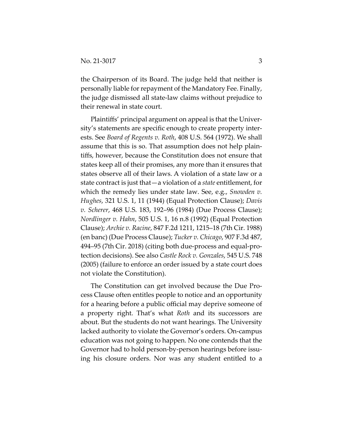the Chairperson of its Board. The judge held that neither is personally liable for repayment of the Mandatory Fee. Finally, the judge dismissed all state-law claims without prejudice to their renewal in state court.

Plaintiffs' principal argument on appeal is that the University's statements are specific enough to create property interests. See *Board of Regents v. Roth*, 408 U.S. 564 (1972). We shall assume that this is so. That assumption does not help plaintiffs, however, because the Constitution does not ensure that states keep all of their promises, any more than it ensures that states observe all of their laws. A violation of a state law or a state contract is just that—a violation of a *state* entitlement, for which the remedy lies under state law. See, e.g., *Snowden v. Hughes*, 321 U.S. 1, 11 (1944) (Equal Protection Clause); *Davis v. Scherer*, 468 U.S. 183, 192–96 (1984) (Due Process Clause); *Nordlinger v. Hahn*, 505 U.S. 1, 16 n.8 (1992) (Equal Protection Clause); *Archie v. Racine*, 847 F.2d 1211, 1215–18 (7th Cir. 1988) (en banc) (Due Process Clause); *Tucker v. Chicago*, 907 F.3d 487, 494–95 (7th Cir. 2018) (citing both due-process and equal-protection decisions). See also *Castle Rock v. Gonzales*, 545 U.S. 748 (2005) (failure to enforce an order issued by a state court does not violate the Constitution).

The Constitution can get involved because the Due Process Clause often entitles people to notice and an opportunity for a hearing before a public official may deprive someone of a property right. That's what *Roth* and its successors are about. But the students do not want hearings. The University lacked authority to violate the Governor's orders. On-campus education was not going to happen. No one contends that the Governor had to hold person-by-person hearings before issuing his closure orders. Nor was any student entitled to a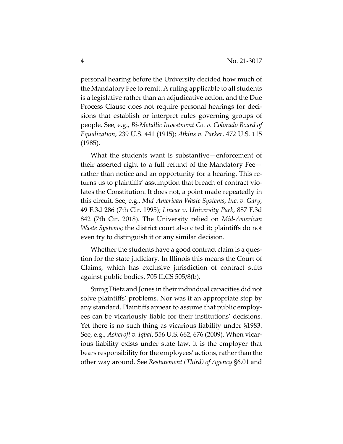personal hearing before the University decided how much of the Mandatory Fee to remit. A ruling applicable to all students is a legislative rather than an adjudicative action, and the Due Process Clause does not require personal hearings for decisions that establish or interpret rules governing groups of people. See, e.g., *Bi-Metallic Investment Co. v. Colorado Board of Equalization*, 239 U.S. 441 (1915); *Atkins v. Parker*, 472 U.S. 115 (1985).

What the students want is substantive—enforcement of their asserted right to a full refund of the Mandatory Fee rather than notice and an opportunity for a hearing. This returns us to plaintiffs' assumption that breach of contract violates the Constitution. It does not, a point made repeatedly in this circuit. See, e.g., *Mid-American Waste Systems, Inc. v. Gary*, 49 F.3d 286 (7th Cir. 1995); *Linear v. University Park*, 887 F.3d 842 (7th Cir. 2018). The University relied on *Mid-American Waste Systems*; the district court also cited it; plaintiffs do not even try to distinguish it or any similar decision.

Whether the students have a good contract claim is a question for the state judiciary. In Illinois this means the Court of Claims, which has exclusive jurisdiction of contract suits against public bodies. 705 ILCS 505/8(b).

Suing Dietz and Jones in their individual capacities did not solve plaintiffs' problems. Nor was it an appropriate step by any standard. Plaintiffs appear to assume that public employees can be vicariously liable for their institutions' decisions. Yet there is no such thing as vicarious liability under §1983. See, e.g., *Ashcroft v. Iqbal*, 556 U.S. 662, 676 (2009). When vicarious liability exists under state law, it is the employer that bears responsibility for the employees' actions, rather than the other way around. See *Restatement (Third) of Agency* §6.01 and